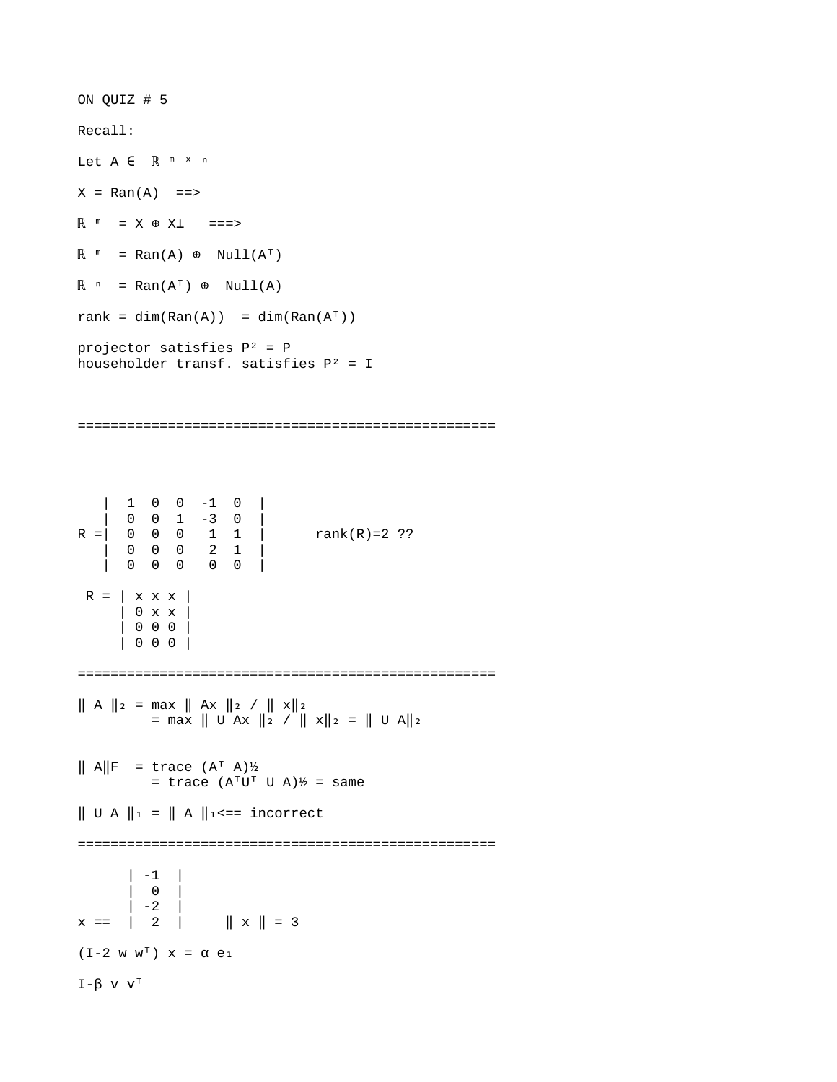ON QUIZ # 5 Recall: Let A ∈ R <sup>m</sup> × n  $X = Ran(A)$  ==> ℝ ᵐ ⊕ ⊥ = X X ===>  $\mathbb{R}^m$  = Ran(A)  $\oplus$  Null(A<sup>T</sup>)  $\mathbb{R}$   $\circ$  = Ran(A<sup>T</sup>)  $\circ$  Null(A) rank = dim(Ran(A)) = dim(Ran(A<sup>T</sup>)) projector satisfies  $P^2 = P$ householder transf. satisfies  $P^2 = I$ =================================================== | 1 0 0 -1 0 | | 0 0 1 -3 0 | R =| 0 0 0 1 1 | rank(R)=2 ?? | 0 0 0 2 1 | | 0 0 0 0 0 |  $R = | x x x |$  | 0 x x | | 0 0 0 | | 0 0 0 | ===================================================  $\| A \|_2$  = max  $\| Ax \|_2 / \| x \|_2$  $=$  max  $||$  U Ax  $||_2$  /  $||$  x $||_2$  =  $||$  U A $||_2$  $\parallel$  A $\parallel$ F = trace  $(A^T A)$ ½ = trace  $(A^{\dagger}U^{\dagger} U A)$ ½ = same  $\parallel$  U A  $\parallel$ <sub>1</sub> =  $\parallel$  A  $\parallel$ <sub>1</sub> <== incorrect =================================================== | -1 |  $| 0 |$  $x == | -2 |$ <br>x == | 2 |  $\| 2 \| \times \| = 3$  $(I - 2 W W^T)$   $X = \alpha e_1$ I-β v  $V^T$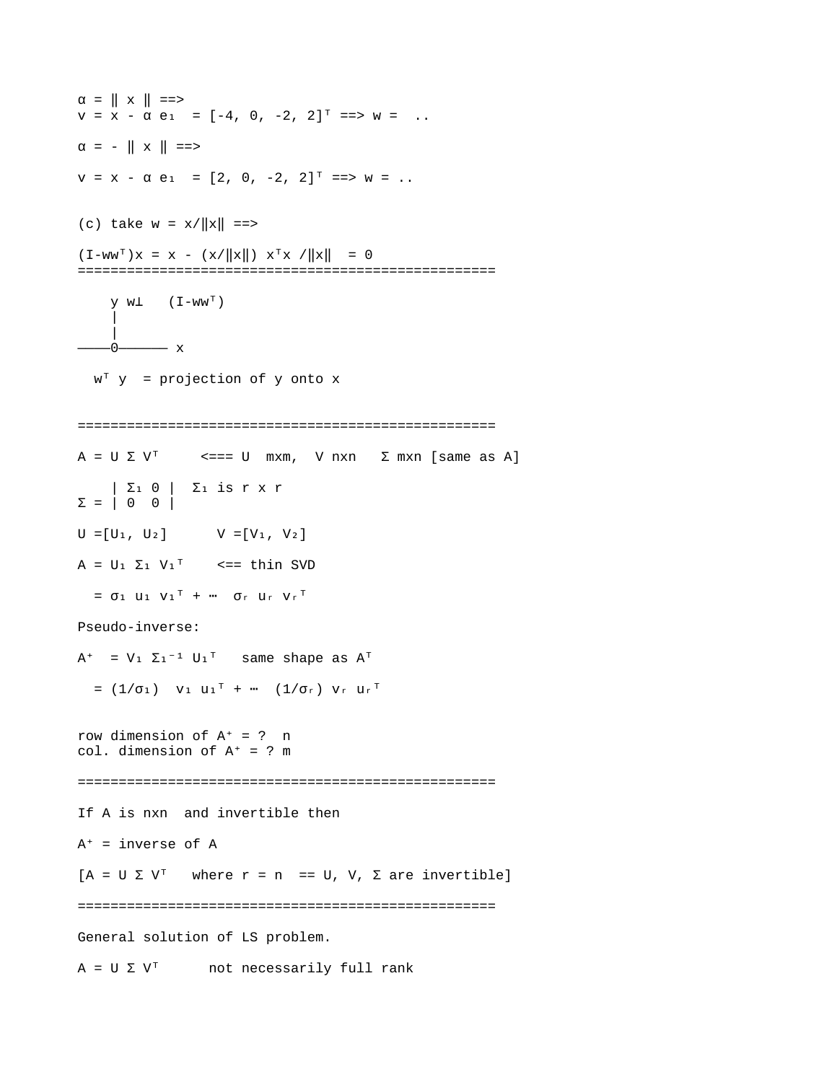$\alpha = || x || ==$  $v = \overline{x} - \overline{\alpha} e_1 = [-4, 0, -2, 2]^{T} == > w = ...$  $\alpha = - || x || = =$  $v = x - \alpha e_1 = [2, 0, -2, 2]$ <sup>T</sup> = > w = .. (c) take  $w = x/||x|| ==$  $(I - WW^T)X = X - (X/\|X\|) X^T X / \|X\| = 0$ ===================================================  $V W^{\perp}$  (I-WW<sup>T</sup>) || || || || || || || || || || || ————0—————— x  $W^T$  y = projection of y onto x ===================================================  $A = U \Sigma V^{T}$  <=== U mxm, V nxn  $\Sigma$  mxn [same as A]  $|\Sigma_1 \oplus | \Sigma_1 \text{ is } r \times r$  $\Sigma = \begin{bmatrix} 0 & 0 \end{bmatrix}$  $U = [U_1, U_2]$   $V = [V_1, V_2]$  $A = U_1 \Sigma_1 V_1^T$  <== thin SVD  $=$   $\sigma_1$  U<sub>1</sub> V<sub>1</sub><sup>T</sup> + ···  $\sigma_r$  U<sub>r</sub> V<sub>r</sub><sup>T</sup> Pseudo-inverse:  $A^+$  = V<sub>1</sub>  $\Sigma_1$ <sup>-1</sup> U<sub>1</sub><sup>T</sup> same shape as  $A^T$  $=$   $(1/\sigma_1)$  V<sub>1</sub> U<sub>1</sub><sup>T</sup> + ···  $(1/\sigma_r)$  V<sub>r</sub> U<sub>r</sub><sup>T</sup> row dimension of  $A^+ = ?$  n col. dimension of  $A^+ = ?$  m =================================================== If A is nxn and invertible then  $A^+$  = inverse of A  $[A = U \Sigma V^{\dagger}$  where  $r = n$  == U, V,  $\Sigma$  are invertible] =================================================== General solution of LS problem.  $A = U \Sigma V^{T}$  not necessarily full rank